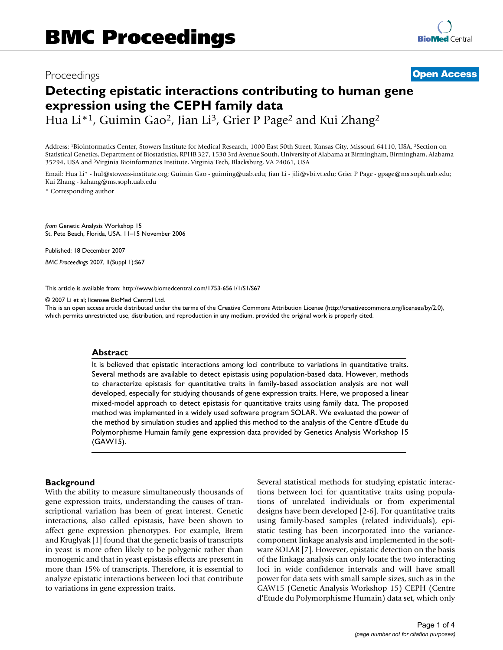## Proceedings **[Open Access](http://www.biomedcentral.com/info/about/charter/)**

# **Detecting epistatic interactions contributing to human gene expression using the CEPH family data**

Hua Li<sup>\*1</sup>, Guimin Gao<sup>2</sup>, Jian Li<sup>3</sup>, Grier P Page<sup>2</sup> and Kui Zhang<sup>2</sup>

Address: 1Bioinformatics Center, Stowers Institute for Medical Research, 1000 East 50th Street, Kansas City, Missouri 64110, USA, 2Section on Statistical Genetics, Department of Biostatistics, RPHB 327, 1530 3rd Avenue South, University of Alabama at Birmingham, Birmingham, Alabama 35294, USA and 3Virginia Bioinformatics Institute, Virginia Tech, Blacksburg, VA 24061, USA

Email: Hua Li\* - hul@stowers-institute.org; Guimin Gao - guiming@uab.edu; Jian Li - jili@vbi.vt.edu; Grier P Page - gpage@ms.soph.uab.edu; Kui Zhang - kzhang@ms.soph.uab.edu

\* Corresponding author

*from* Genetic Analysis Workshop 15 St. Pete Beach, Florida, USA. 11–15 November 2006

Published: 18 December 2007

*BMC Proceedings* 2007, **1**(Suppl 1):S67

[This article is available from: http://www.biomedcentral.com/1753-6561/1/S1/S67](http://www.biomedcentral.com/1753-6561/1/S1/S67)

© 2007 Li et al; licensee BioMed Central Ltd.

This is an open access article distributed under the terms of the Creative Commons Attribution License [\(http://creativecommons.org/licenses/by/2.0\)](http://creativecommons.org/licenses/by/2.0), which permits unrestricted use, distribution, and reproduction in any medium, provided the original work is properly cited.

#### **Abstract**

It is believed that epistatic interactions among loci contribute to variations in quantitative traits. Several methods are available to detect epistasis using population-based data. However, methods to characterize epistasis for quantitative traits in family-based association analysis are not well developed, especially for studying thousands of gene expression traits. Here, we proposed a linear mixed-model approach to detect epistasis for quantitative traits using family data. The proposed method was implemented in a widely used software program SOLAR. We evaluated the power of the method by simulation studies and applied this method to the analysis of the Centre d'Etude du Polymorphisme Humain family gene expression data provided by Genetics Analysis Workshop 15 (GAW15).

## **Background**

With the ability to measure simultaneously thousands of gene expression traits, understanding the causes of transcriptional variation has been of great interest. Genetic interactions, also called epistasis, have been shown to affect gene expression phenotypes. For example, Brem and Kruglyak [1] found that the genetic basis of transcripts in yeast is more often likely to be polygenic rather than monogenic and that in yeast epistasis effects are present in more than 15% of transcripts. Therefore, it is essential to analyze epistatic interactions between loci that contribute to variations in gene expression traits.

Several statistical methods for studying epistatic interactions between loci for quantitative traits using populations of unrelated individuals or from experimental designs have been developed [2-6]. For quantitative traits using family-based samples (related individuals), epistatic testing has been incorporated into the variancecomponent linkage analysis and implemented in the software SOLAR [7]. However, epistatic detection on the basis of the linkage analysis can only locate the two interacting loci in wide confidence intervals and will have small power for data sets with small sample sizes, such as in the GAW15 (Genetic Analysis Workshop 15) CEPH (Centre d'Etude du Polymorphisme Humain) data set, which only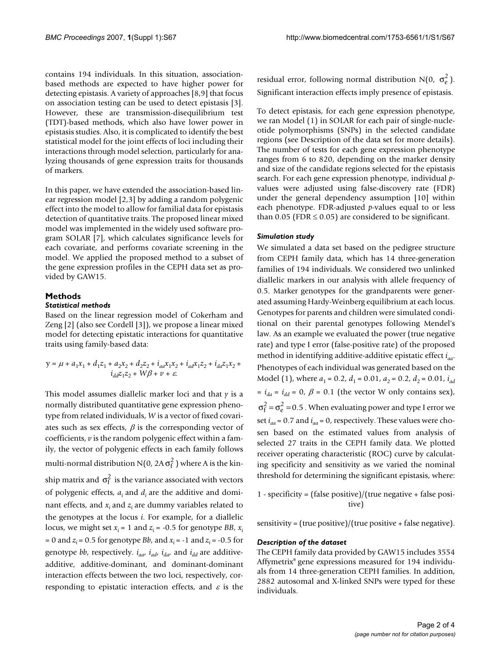contains 194 individuals. In this situation, associationbased methods are expected to have higher power for detecting epistasis. A variety of approaches [8,9] that focus on association testing can be used to detect epistasis [3]. However, these are transmission-disequilibrium test (TDT)-based methods, which also have lower power in epistasis studies. Also, it is complicated to identify the best statistical model for the joint effects of loci including their interactions through model selection, particularly for analyzing thousands of gene expression traits for thousands of markers.

In this paper, we have extended the association-based linear regression model [2,3] by adding a random polygenic effect into the model to allow for familial data for epistasis detection of quantitative traits. The proposed linear mixed model was implemented in the widely used software program SOLAR [7], which calculates significance levels for each covariate, and performs covariate screening in the model. We applied the proposed method to a subset of the gene expression profiles in the CEPH data set as provided by GAW15.

## **Methods** *Statistical methods*

Based on the linear regression model of Cokerham and Zeng [2] (also see Cordell [3]), we propose a linear mixed model for detecting epistatic interactions for quantitative traits using family-based data:

$$
y = \mu + a_1 x_1 + d_1 z_1 + a_2 x_2 + d_2 z_2 + i_{aa} x_1 x_2 + i_{ad} x_1 z_2 + i_{dd} z_1 x_2 + i_{dd} z_1 x_2 + i_{dd} z_1 z_2 + W\beta + \nu + \varepsilon.
$$

This model assumes diallelic marker loci and that *y* is a normally distributed quantitative gene expression phenotype from related individuals, *W* is a vector of fixed covariates such as sex effects,  $\beta$  is the corresponding vector of coefficients, *v* is the random polygenic effect within a family, the vector of polygenic effects in each family follows multi-normal distribution N(0, 2A  $\sigma_{\rm f}^2$  ) where A is the kinship matrix and  $\sigma_f^2$  is the variance associated with vectors of polygenic effects, *ai* and *di* are the additive and dominant effects, and *xi* and *zi* are dummy variables related to the genotypes at the locus *i*. For example, for a diallelic locus, we might set  $x_i = 1$  and  $z_i = -0.5$  for genotype *BB*,  $x_i$  $= 0$  and  $z_i = 0.5$  for genotype *Bb*, and  $x_i = -1$  and  $z_i = -0.5$  for genotype *bb*, respectively.  $i_{aa}$ ,  $i_{ad}$ ,  $i_{da}$ , and  $i_{dd}$  are additiveadditive, additive-dominant, and dominant-dominant interaction effects between the two loci, respectively, corresponding to epistatic interaction effects, and  $\varepsilon$  is the

residual error, following normal distribution N(0,  $\sigma_e^2$ ). Significant interaction effects imply presence of epistasis.

To detect epistasis, for each gene expression phenotype, we ran Model (1) in SOLAR for each pair of single-nucleotide polymorphisms (SNPs) in the selected candidate regions (see Description of the data set for more details). The number of tests for each gene expression phenotype ranges from 6 to 820, depending on the marker density and size of the candidate regions selected for the epistasis search. For each gene expression phenotype, individual *p*values were adjusted using false-discovery rate (FDR) under the general dependency assumption [10] within each phenotype. FDR-adjusted *p*-values equal to or less than 0.05 (FDR  $\leq$  0.05) are considered to be significant.

## *Simulation study*

We simulated a data set based on the pedigree structure from CEPH family data, which has 14 three-generation families of 194 individuals. We considered two unlinked diallelic markers in our analysis with allele frequency of 0.5. Marker genotypes for the grandparents were generated assuming Hardy-Weinberg equilibrium at each locus. Genotypes for parents and children were simulated conditional on their parental genotypes following Mendel's law. As an example we evaluated the power (true negative rate) and type I error (false-positive rate) of the proposed method in identifying additive-additive epistatic effect *iaa*. Phenotypes of each individual was generated based on the Model (1), where  $a_1 = 0.2$ ,  $d_1 = 0.01$ ,  $a_2 = 0.2$ ,  $d_2 = 0.01$ ,  $i_{ad}$  $= i_{dd} = i_{dd} = 0$ ,  $\beta = 0.1$  (the vector W only contains sex),  $\sigma_f^2 = \sigma_e^2 = 0.5$  . When evaluating power and type I error we set  $i_{aa}$  = 0.7 and  $i_{aa}$  = 0, respectively. These values were chosen based on the estimated values from analysis of selected 27 traits in the CEPH family data. We plotted receiver operating characteristic (ROC) curve by calculating specificity and sensitivity as we varied the nominal threshold for determining the significant epistasis, where:

1 - specificity = (false positive)/(true negative + false positive)

sensitivity = (true positive)/(true positive + false negative).

## *Description of the dataset*

The CEPH family data provided by GAW15 includes 3554 Affymetrix® gene expressions measured for 194 individuals from 14 three-generation CEPH families. In addition, 2882 autosomal and X-linked SNPs were typed for these individuals.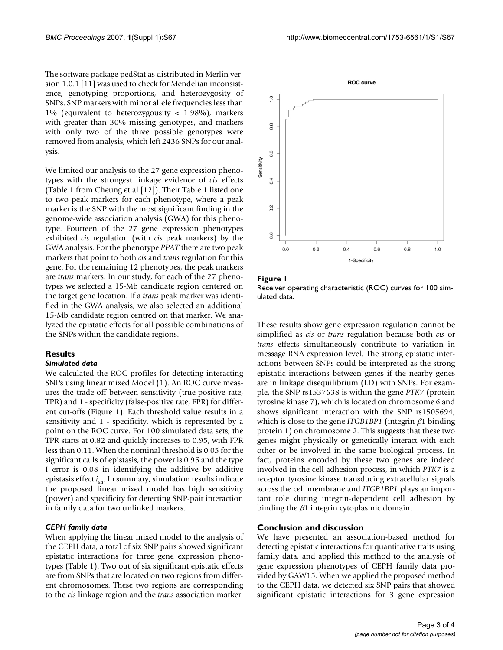The software package pedStat as distributed in Merlin version 1.0.1 [11] was used to check for Mendelian inconsistence, genotyping proportions, and heterozygosity of SNPs. SNP markers with minor allele frequencies less than 1% (equivalent to heterozygousity < 1.98%), markers with greater than 30% missing genotypes, and markers with only two of the three possible genotypes were removed from analysis, which left 2436 SNPs for our analysis.

We limited our analysis to the 27 gene expression phenotypes with the strongest linkage evidence of *cis* effects (Table 1 from Cheung et al [12]). Their Table 1 listed one to two peak markers for each phenotype, where a peak marker is the SNP with the most significant finding in the genome-wide association analysis (GWA) for this phenotype. Fourteen of the 27 gene expression phenotypes exhibited *cis* regulation (with *cis* peak markers) by the GWA analysis. For the phenotype *PPAT* there are two peak markers that point to both *cis* and *trans* regulation for this gene. For the remaining 12 phenotypes, the peak markers are *trans* markers. In our study, for each of the 27 phenotypes we selected a 15-Mb candidate region centered on the target gene location. If a *trans* peak marker was identified in the GWA analysis, we also selected an additional 15-Mb candidate region centred on that marker. We analyzed the epistatic effects for all possible combinations of the SNPs within the candidate regions.

## **Results**

#### *Simulated data*

We calculated the ROC profiles for detecting interacting SNPs using linear mixed Model (1). An ROC curve measures the trade-off between sensitivity (true-positive rate, TPR) and 1 - specificity (false-positive rate, FPR) for different cut-offs (Figure 1). Each threshold value results in a sensitivity and 1 - specificity, which is represented by a point on the ROC curve. For 100 simulated data sets, the TPR starts at 0.82 and quickly increases to 0.95, with FPR less than 0.11. When the nominal threshold is 0.05 for the significant calls of epistasis, the power is 0.95 and the type I error is 0.08 in identifying the additive by additive epistasis effect *iaa*. In summary, simulation results indicate the proposed linear mixed model has high sensitivity (power) and specificity for detecting SNP-pair interaction in family data for two unlinked markers.

## *CEPH family data*

When applying the linear mixed model to the analysis of the CEPH data, a total of six SNP pairs showed significant epistatic interactions for three gene expression phenotypes (Table 1). Two out of six significant epistatic effects are from SNPs that are located on two regions from different chromosomes. These two regions are corresponding to the *cis* linkage region and the *trans* association marker.



**Figure 1** Receiver operating characteristic (ROC) curves for 100 simulated data.

These results show gene expression regulation cannot be simplified as *cis* or *trans* regulation because both *cis* or *trans* effects simultaneously contribute to variation in message RNA expression level. The strong epistatic interactions between SNPs could be interpreted as the strong epistatic interactions between genes if the nearby genes are in linkage disequilibrium (LD) with SNPs. For example, the SNP rs1537638 is within the gene *PTK7* (protein tyrosine kinase 7), which is located on chromosome 6 and shows significant interaction with the SNP rs1505694, which is close to the gene *ITGB1BP1* (integrin β1 binding protein 1) on chromosome 2. This suggests that these two genes might physically or genetically interact with each other or be involved in the same biological process. In fact, proteins encoded by these two genes are indeed involved in the cell adhesion process, in which *PTK7* is a receptor tyrosine kinase transducing extracellular signals across the cell membrane and *ITGB1BP1* plays an important role during integrin-dependent cell adhesion by binding the  $\beta$ 1 integrin cytoplasmic domain.

## **Conclusion and discussion**

We have presented an association-based method for detecting epistatic interactions for quantitative traits using family data, and applied this method to the analysis of gene expression phenotypes of CEPH family data provided by GAW15. When we applied the proposed method to the CEPH data, we detected six SNP pairs that showed significant epistatic interactions for 3 gene expression